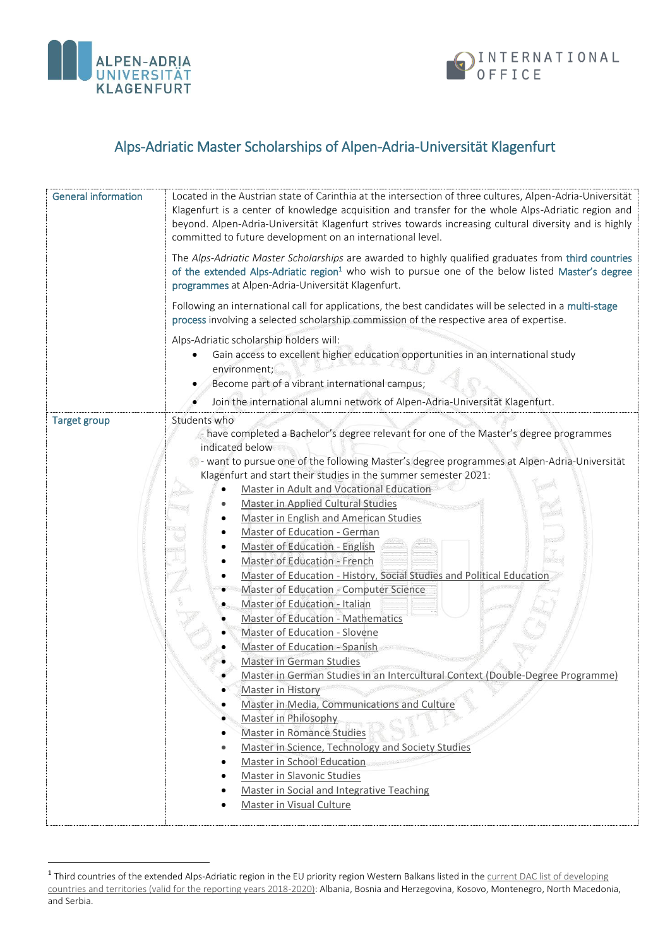

 $\overline{a}$ 



## Alps-Adriatic Master Scholarships of Alpen-Adria-Universität Klagenfurt

| <b>General information</b> | Located in the Austrian state of Carinthia at the intersection of three cultures, Alpen-Adria-Universität<br>Klagenfurt is a center of knowledge acquisition and transfer for the whole Alps-Adriatic region and<br>beyond. Alpen-Adria-Universität Klagenfurt strives towards increasing cultural diversity and is highly<br>committed to future development on an international level.<br>The Alps-Adriatic Master Scholarships are awarded to highly qualified graduates from third countries<br>of the extended Alps-Adriatic region <sup>1</sup> who wish to pursue one of the below listed Master's degree<br>programmes at Alpen-Adria-Universität Klagenfurt.<br>Following an international call for applications, the best candidates will be selected in a multi-stage<br>process involving a selected scholarship commission of the respective area of expertise.<br>Alps-Adriatic scholarship holders will:<br>Gain access to excellent higher education opportunities in an international study<br>environment;<br>Become part of a vibrant international campus;<br>Join the international alumni network of Alpen-Adria-Universität Klagenfurt.                                                                                              |
|----------------------------|-------------------------------------------------------------------------------------------------------------------------------------------------------------------------------------------------------------------------------------------------------------------------------------------------------------------------------------------------------------------------------------------------------------------------------------------------------------------------------------------------------------------------------------------------------------------------------------------------------------------------------------------------------------------------------------------------------------------------------------------------------------------------------------------------------------------------------------------------------------------------------------------------------------------------------------------------------------------------------------------------------------------------------------------------------------------------------------------------------------------------------------------------------------------------------------------------------------------------------------------------------------|
| <b>Target group</b>        | Students who                                                                                                                                                                                                                                                                                                                                                                                                                                                                                                                                                                                                                                                                                                                                                                                                                                                                                                                                                                                                                                                                                                                                                                                                                                                |
|                            | - have completed a Bachelor's degree relevant for one of the Master's degree programmes<br>indicated below<br>- want to pursue one of the following Master's degree programmes at Alpen-Adria-Universität<br>Klagenfurt and start their studies in the summer semester 2021:<br>Master in Adult and Vocational Education<br>$\bullet$<br><b>Master in Applied Cultural Studies</b><br>Master in English and American Studies<br>Master of Education - German<br>Master of Education - English<br>Master of Education - French<br>Master of Education - History, Social Studies and Political Education<br><b>Master of Education - Computer Science</b><br>Master of Education - Italian<br><b>Master of Education - Mathematics</b><br>Master of Education - Slovene<br>Master of Education - Spanish<br>Master in German Studies<br>Master in German Studies in an Intercultural Context (Double-Degree Programme)<br>Master in History<br>Master in Media, Communications and Culture<br>$\bullet$<br>Master in Philosophy<br><b>Master in Romance Studies</b><br>Master in Science, Technology and Society Studies<br>Master in School Education<br>Master in Slavonic Studies<br>Master in Social and Integrative Teaching<br>Master in Visual Culture |

<sup>&</sup>lt;sup>1</sup> Third countries of the extended Alps-Adriatic region in the EU priority region Western Balkans listed in the current DAC list of developing [countries and territories \(valid for the reporting years 2018-2020\):](https://www.bmz.de/de/zentrales_downloadarchiv/Ministerium/ODA/DAC_Laenderliste_Berichtsjahre_2018_2020.pdf) Albania, Bosnia and Herzegovina, Kosovo, Montenegro, North Macedonia, and Serbia.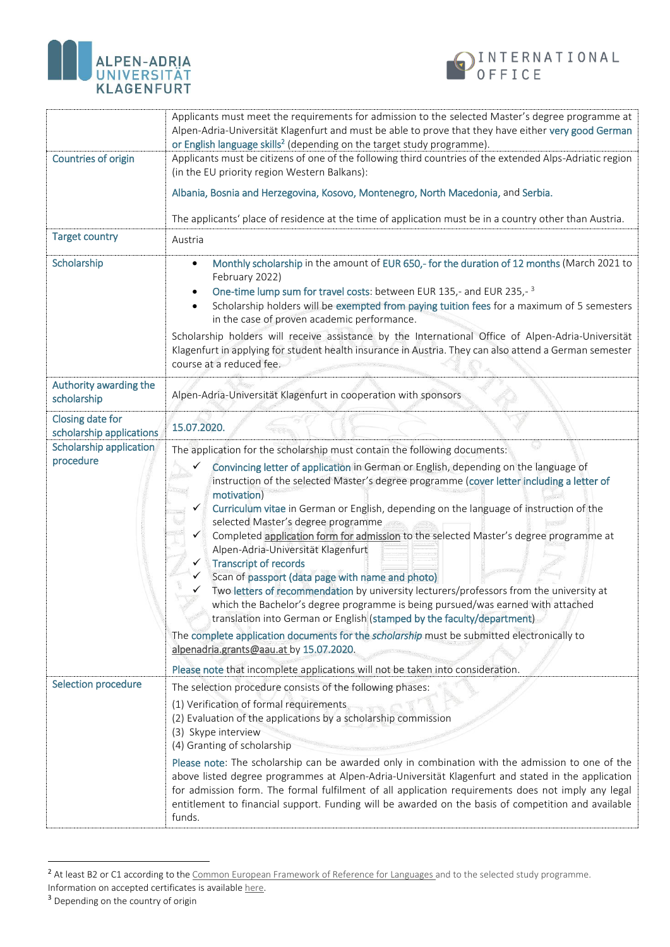



|                                                                                      | Applicants must meet the requirements for admission to the selected Master's degree programme at<br>Alpen-Adria-Universität Klagenfurt and must be able to prove that they have either very good German<br>or English language skills <sup>2</sup> (depending on the target study programme).                                                                                                                                                                                                                                                                                                                                                                                                                                                                                                                                                                                                                                                                                                                                         |
|--------------------------------------------------------------------------------------|---------------------------------------------------------------------------------------------------------------------------------------------------------------------------------------------------------------------------------------------------------------------------------------------------------------------------------------------------------------------------------------------------------------------------------------------------------------------------------------------------------------------------------------------------------------------------------------------------------------------------------------------------------------------------------------------------------------------------------------------------------------------------------------------------------------------------------------------------------------------------------------------------------------------------------------------------------------------------------------------------------------------------------------|
| Countries of origin                                                                  | Applicants must be citizens of one of the following third countries of the extended Alps-Adriatic region<br>(in the EU priority region Western Balkans):                                                                                                                                                                                                                                                                                                                                                                                                                                                                                                                                                                                                                                                                                                                                                                                                                                                                              |
|                                                                                      | Albania, Bosnia and Herzegovina, Kosovo, Montenegro, North Macedonia, and Serbia.                                                                                                                                                                                                                                                                                                                                                                                                                                                                                                                                                                                                                                                                                                                                                                                                                                                                                                                                                     |
|                                                                                      | The applicants' place of residence at the time of application must be in a country other than Austria.                                                                                                                                                                                                                                                                                                                                                                                                                                                                                                                                                                                                                                                                                                                                                                                                                                                                                                                                |
| <b>Target country</b>                                                                | Austria                                                                                                                                                                                                                                                                                                                                                                                                                                                                                                                                                                                                                                                                                                                                                                                                                                                                                                                                                                                                                               |
| Scholarship                                                                          | Monthly scholarship in the amount of EUR 650,- for the duration of 12 months (March 2021 to<br>February 2022)<br>One-time lump sum for travel costs: between EUR 135,- and EUR 235,-3<br>Scholarship holders will be exempted from paying tuition fees for a maximum of 5 semesters<br>in the case of proven academic performance.                                                                                                                                                                                                                                                                                                                                                                                                                                                                                                                                                                                                                                                                                                    |
|                                                                                      | Scholarship holders will receive assistance by the International Office of Alpen-Adria-Universität<br>Klagenfurt in applying for student health insurance in Austria. They can also attend a German semester<br>course at a reduced fee.                                                                                                                                                                                                                                                                                                                                                                                                                                                                                                                                                                                                                                                                                                                                                                                              |
| Authority awarding the<br>scholarship                                                | Alpen-Adria-Universität Klagenfurt in cooperation with sponsors                                                                                                                                                                                                                                                                                                                                                                                                                                                                                                                                                                                                                                                                                                                                                                                                                                                                                                                                                                       |
| Closing date for<br>scholarship applications<br>Scholarship application<br>procedure | 15.07.2020.                                                                                                                                                                                                                                                                                                                                                                                                                                                                                                                                                                                                                                                                                                                                                                                                                                                                                                                                                                                                                           |
|                                                                                      | The application for the scholarship must contain the following documents:                                                                                                                                                                                                                                                                                                                                                                                                                                                                                                                                                                                                                                                                                                                                                                                                                                                                                                                                                             |
|                                                                                      | Convincing letter of application in German or English, depending on the language of<br>instruction of the selected Master's degree programme (cover letter including a letter of<br>motivation)<br>Curriculum vitae in German or English, depending on the language of instruction of the<br>selected Master's degree programme<br>Completed application form for admission to the selected Master's degree programme at<br>Alpen-Adria-Universität Klagenfurt<br><b>Transcript of records</b><br>Scan of passport (data page with name and photo)<br>Two letters of recommendation by university lecturers/professors from the university at<br>which the Bachelor's degree programme is being pursued/was earned with attached<br>translation into German or English (stamped by the faculty/department)<br>The complete application documents for the scholarship must be submitted electronically to<br>alpenadria.grants@aau.at by 15.07.2020.<br>Please note that incomplete applications will not be taken into consideration. |
| Selection procedure                                                                  | The selection procedure consists of the following phases:                                                                                                                                                                                                                                                                                                                                                                                                                                                                                                                                                                                                                                                                                                                                                                                                                                                                                                                                                                             |
|                                                                                      | (1) Verification of formal requirements<br>(2) Evaluation of the applications by a scholarship commission<br>(3) Skype interview<br>(4) Granting of scholarship                                                                                                                                                                                                                                                                                                                                                                                                                                                                                                                                                                                                                                                                                                                                                                                                                                                                       |
|                                                                                      | Please note: The scholarship can be awarded only in combination with the admission to one of the<br>above listed degree programmes at Alpen-Adria-Universität Klagenfurt and stated in the application<br>for admission form. The formal fulfilment of all application requirements does not imply any legal<br>entitlement to financial support. Funding will be awarded on the basis of competition and available<br>funds.                                                                                                                                                                                                                                                                                                                                                                                                                                                                                                                                                                                                         |

<sup>&</sup>lt;sup>2</sup> At least B2 or C1 according to the [Common European Framework of Reference for Languages](https://www.coe.int/en/web/common-european-framework-reference-languages/table-1-cefr-3.3-common-reference-levels-global-scale) and to the selected study programme. Information on accepted certificates is available [here.](https://www.aau.at/wp-content/uploads/2019/05/proof-of-required-language-skills-for-admission.pdf)

 $\overline{a}$ 

<sup>&</sup>lt;sup>3</sup> Depending on the country of origin